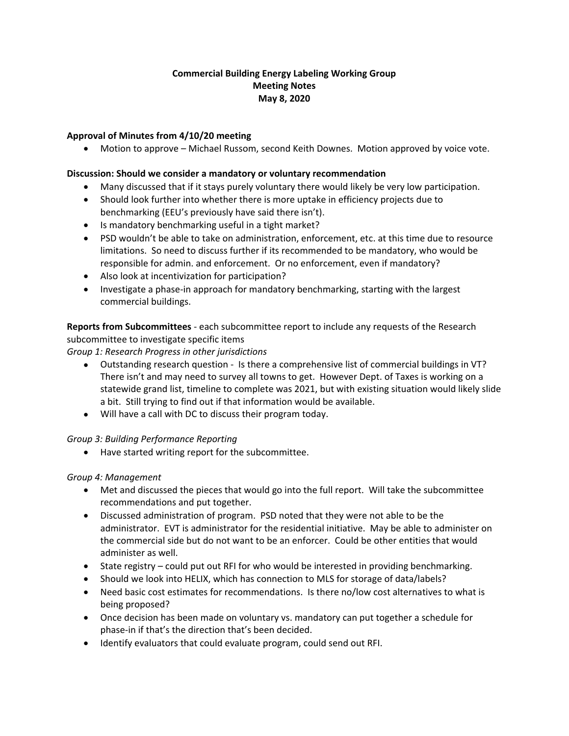## **Commercial Building Energy Labeling Working Group Meeting Notes May 8, 2020**

## **Approval of Minutes from 4/10/20 meeting**

• Motion to approve – Michael Russom, second Keith Downes. Motion approved by voice vote.

#### **Discussion: Should we consider a mandatory or voluntary recommendation**

- Many discussed that if it stays purely voluntary there would likely be very low participation.
- Should look further into whether there is more uptake in efficiency projects due to benchmarking (EEU's previously have said there isn't).
- Is mandatory benchmarking useful in a tight market?
- PSD wouldn't be able to take on administration, enforcement, etc. at this time due to resource limitations. So need to discuss further if its recommended to be mandatory, who would be responsible for admin. and enforcement. Or no enforcement, even if mandatory?
- Also look at incentivization for participation?
- Investigate a phase-in approach for mandatory benchmarking, starting with the largest commercial buildings.

**Reports from Subcommittees** - each subcommittee report to include any requests of the Research subcommittee to investigate specific items

*Group 1: Research Progress in other jurisdictions* 

- Outstanding research question Is there a comprehensive list of commercial buildings in VT? There isn't and may need to survey all towns to get. However Dept. of Taxes is working on a statewide grand list, timeline to complete was 2021, but with existing situation would likely slide a bit. Still trying to find out if that information would be available.
- Will have a call with DC to discuss their program today.

#### *Group 3: Building Performance Reporting*

• Have started writing report for the subcommittee.

#### *Group 4: Management*

- Met and discussed the pieces that would go into the full report. Will take the subcommittee recommendations and put together.
- Discussed administration of program. PSD noted that they were not able to be the administrator. EVT is administrator for the residential initiative. May be able to administer on the commercial side but do not want to be an enforcer. Could be other entities that would administer as well.
- State registry could put out RFI for who would be interested in providing benchmarking.
- Should we look into HELIX, which has connection to MLS for storage of data/labels?
- Need basic cost estimates for recommendations. Is there no/low cost alternatives to what is being proposed?
- Once decision has been made on voluntary vs. mandatory can put together a schedule for phase-in if that's the direction that's been decided.
- Identify evaluators that could evaluate program, could send out RFI.